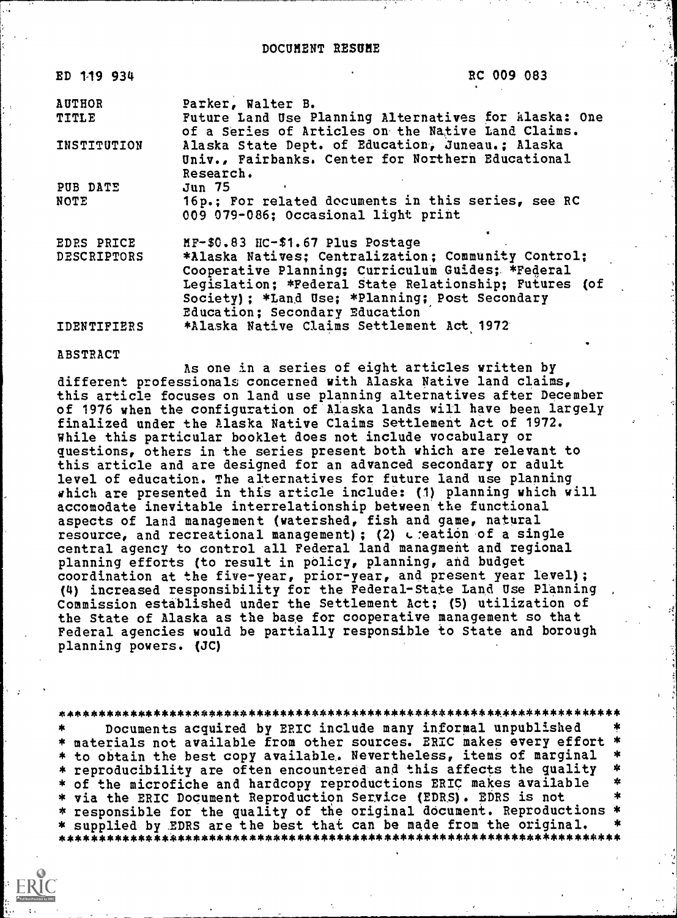| ED 119 934         | RC 009 083                                                                                                         |  |
|--------------------|--------------------------------------------------------------------------------------------------------------------|--|
| <b>AUTHOR</b>      | Parker, Walter B.                                                                                                  |  |
| TITLE              | Future Land Use Planning Alternatives for Alaska: One<br>of a Series of Articles on the Native Land Claims.        |  |
| INSTITUTION        | Alaska State Dept. of Education, Juneau.; Alaska<br>Univ., Fairbanks. Center for Northern Educational<br>Research. |  |
| PUB DATE           | Jun 75                                                                                                             |  |
| NOTE               | 16p.; For related documents in this series, see RC<br>009 079-086; Occasional light print                          |  |
| EDRS PRICE         | MF-\$0.83 HC-\$1.67 Plus Postage                                                                                   |  |
| <b>DESCRIPTORS</b> | *Alaska Natives; Centralization; Community Control;                                                                |  |
|                    | Cooperative Planning; Curriculum Guides; *Federal                                                                  |  |
|                    | Legislation; *Federal State Relationship; Futures (of                                                              |  |
|                    | Society); *Land Use; *Planning; Post Secondary                                                                     |  |
|                    | Education; Secondary Education                                                                                     |  |
| IDENTIFIERS        | *Alaska Native Claims Settlement Act 1972                                                                          |  |

#### ABSTRACT

As one in a series of eight articles written by different professionals concerned with Alaska Native land claims, this article focuses on land use planning alternatives after December of 1976 when the configuration of Alaska lands will have been largely finalized under the Alaska Native Claims Settlement Act of 1972. While this particular booklet does not include vocabulary or questions, others in the series present both which are relevant to this article and are designed for an advanced secondary or adult level of education. The alternatives for future land use planning which are presented in this article include: (1) planning which will accomodate inevitable interrelationship between the functional aspects of land management (watershed, fish and game, natural resource, and recreational management) ; (2)  $\epsilon$  :eation of a single central agency to control all Federal land managment and regional planning efforts (to result in policy, planning, and budget coordination at the five-year, prior-year, and present year level); (4) increased responsibility for the Federal-State Land Use Planning Commission established under the Settlement Act; (5) utilization of the State of Alaska as the base for cooperative management so that Federal agencies would be partially responsible to State and borough planning powers. (JC)

\*\*\*\*\*\*\*\*\*\*\*\*\*\*\*\*\*\*\*\*\*\*\*\*\*\*\*\*\*\*\*\*\*\*\*\*\*\*\*\*\*\*\*\*\*\*\*\*\*\*\*\*\*\*\*\*\*\*\*\*\*\*\*\*\*\*\*\*\*\*\*

Documents acquired by ERIC include many informal unpublished \* materials not available from other sources. ERIC makes every effort \* to obtain the best copy available. Nevertheless, items of marginal \*<br>\* reproducibility are often opcountered and this affects the quality \* \* reproducibility are often encountered and this affects the quality \* \* of the microfiche and hardcopy reproductions ERIC makes available \* \* via the ERIC Document Reproduction Service (EDRS). EDRS is not responsible for the quality of the original document. Reproductions \* \* supplied by EDRS are the best that can be made from the original. \* \*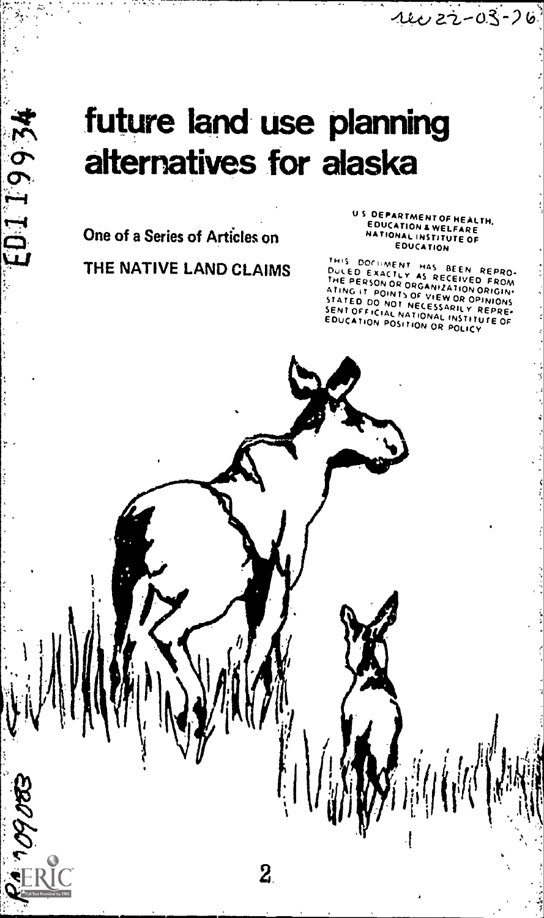# future land use planning alternatives for alaska

 $\overline{\mathbf{2}}$ 

One of a Series of Articles on

42661103

09 0 BS

Ô

US DEPARTMENT OF HEALTH. EDUCATION &WELFARE NATIONAL INSTITUTE OF EDUCATION

 $44022 - 03 - 26$ 

THE NATIVE LAND CLAIMS THIS DOCUMENT HAS BEEN REPROGRAMIZATION ORIGINAL THE PROGRAMIZATION ORIGINAL STATED DO NOT DESCRIPTION ORIGINAL STATED DO NOT NECESSARY OF PROM THIS DOCIIMENT HAS BEEN REPRO-<br>DuLED EXACTLY AS RECEIVED FROM<br>THE PERSON OR GANAMIZATION ORIGIN-<br>ATING IT POINTSORGANIZATION ORIGIN-STATED DO NOT NECESSARILY REPRE-SENT OFFICIAL NATIONAL INSTITUTE OF ENTIUS FOSITION OR POLICY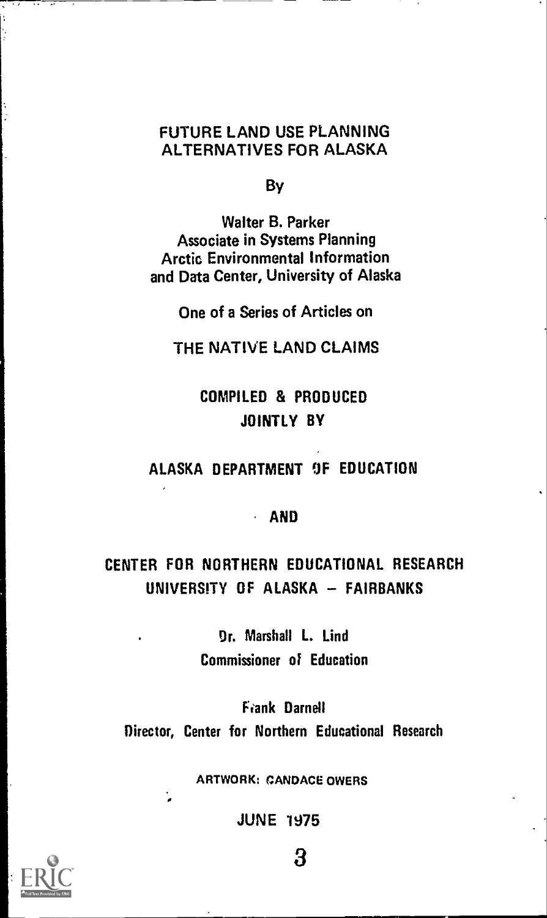## FUTURE LAND USE PLANNING ALTERNATIVES FOR ALASKA

By

Walter B. Parker Associate in Systems Planning Arctic Environmental Information and Data Center, University of Alaska

One of a Series of Articles on

THE NATIVE LAND CLAIMS

## COMPILED & PRODUCED JOINTLY BY

## ALASKA DEPARTMENT OF EDUCATION

#### AND

## CENTER FOR NORTHERN EDUCATIONAL RESEARCH UNIVERSITY OF ALASKA - FAIRBANKS

Or. Marshall L. Lind Commissioner of Education

Frank Darnell Director, Center for Northern Educational Research

ARTWORK: CANDACE OWERS

JUNE 1975



3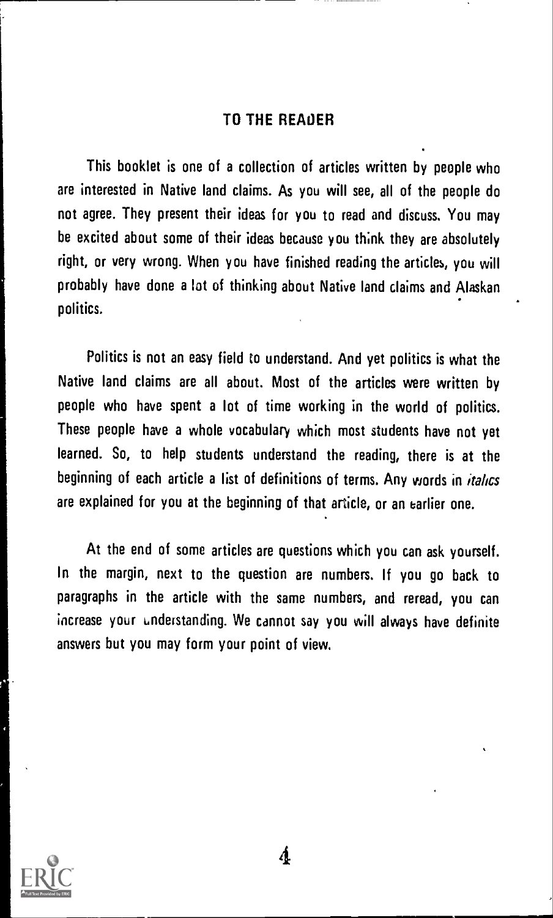#### TO THE READER

This booklet is one of a collection of articles written by people who are interested in Native land claims. As you will see, all of the people do not agree. They present their ideas for you to read and discuss. You may be excited about some of their ideas because you think they are absolutely right, or very wrong. When you have finished reading the articles, you will probably have done a lot of thinking about Native land claims and Alaskan politics.

Politics is not an easy field to understand. And yet politics is what the Native land claims are all about. Most of the articles were written by people who have spent a lot of time working in the world of politics. These people have a whole vocabulary which most students have not yet learned. So, to help students understand the reading, there is at the beginning of each article a list of definitions of terms. Any words in *italics* are explained for you at the beginning of that article, or an earlier one.

At the end of some articles are questions which you can ask yourself. In the margin, next to the question are numbers. If you go back to paragraphs in the article with the same numbers, and reread, you can increase your understanding. We cannot say you will always have definite answers but you may form your point of view.

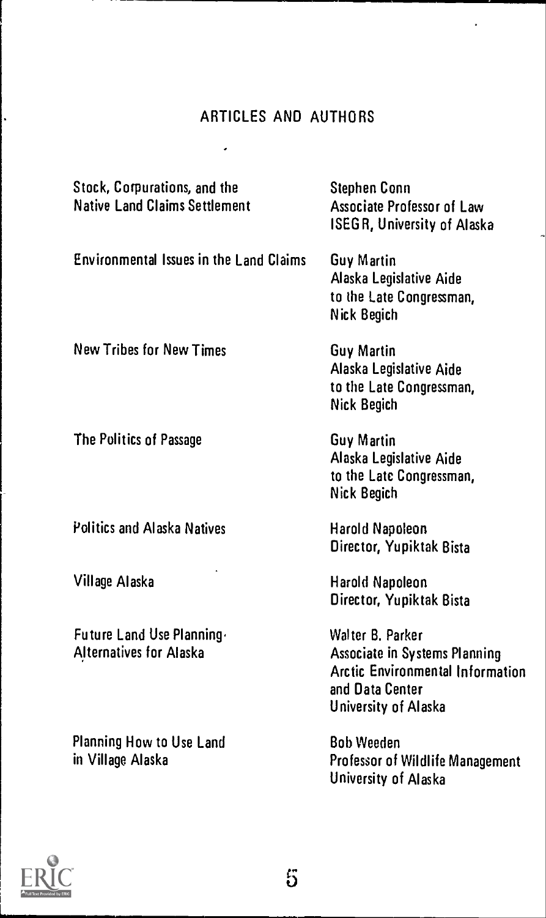## ARTICLES AND AUTHORS

 $\hat{\boldsymbol{\epsilon}}$ 

| Stock, Corpurations, and the<br><b>Native Land Claims Settlement</b> | Stephen Conn<br>Associate Professor of Law<br><b>ISEGR, University of Alaska</b>                                                        |
|----------------------------------------------------------------------|-----------------------------------------------------------------------------------------------------------------------------------------|
| <b>Environmental Issues in the Land Claims</b>                       | Guy Martin<br>Alaska Legislative Aide<br>to the Late Congressman,<br><b>Nick Begich</b>                                                 |
| <b>New Tribes for New Times</b>                                      | <b>Guy Martin</b><br>Alaska Legislative Aide<br>to the Late Congressman,<br><b>Nick Begich</b>                                          |
| The Politics of Passage                                              | <b>Guy Martin</b><br>Alaska Legislative Aide<br>to the Late Congressman,<br>Nick Begich                                                 |
| <b>Politics and Alaska Natives</b>                                   | <b>Harold Napoleon</b><br>Director, Yupiktak Bista                                                                                      |
| Village Alaska                                                       | Harold Napoleon<br>Director, Yupiktak Bista                                                                                             |
| Future Land Use Planning-<br><b>Alternatives for Alaska</b>          | Walter B. Parker<br><b>Associate in Systems Planning</b><br>Arctic Environmental Information<br>and Data Center<br>University of Alaska |
| Planning How to Use Land<br>in Village Alaska                        | <b>Bob Weeden</b><br>Professor of Wildlife Management<br>University of Alaska                                                           |

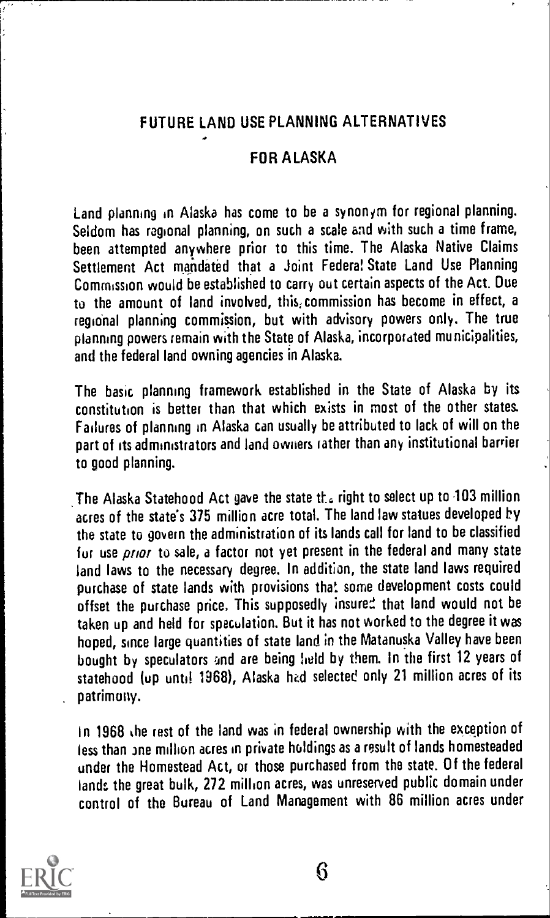## FUTURE LAND USE PLANNING ALTERNATIVES

### FOR ALASKA

Land planning in Alaska has come to be a synonym for regional planning. Seldom has regional planning, on such a scale and with such a time frame, been attempted anywhere prior to this time. The Alaska Native Claims Settlement Act mandated that a Joint Federa! State Land Use Planning Commission would be established to carry out certain aspects of the Act. Due to the amount of land involved, this; commission has become in effect, a regional planning commission, but with advisory powers only. The true planning powers remain with the State of Alaska, incorporated municipalities, and the federal land owning agencies in Alaska.

The basic planning framework established in the State of Alaska by its constitution is better than that which exists in most of the other states. Failures of planning in Alaska can usually be attributed to lack of will on the part of its administrators and land owners rather than any institutional barrier to good planning.

The Alaska Statehood Act gave the state the right to select up to 103 million acres of the state's 375 million acre total. The land law statues developed by the state to govern the administration of its lands call for land to be classified fur use *prior* to sale, a factor not yet present in the federal and many state land laws to the necessary degree. In addition, the state land laws required purchase of state lands with provisions that some development costs could offset the purchase price, This supposedly insured that land would not be taken up and held for speculation. But it has not worked to the degree it was hoped, since large quantities of state land in the Matanuska Valley have been bought by speculators and are being field by them. In the first 12 years of statehood (up until 1968), Alaska hed selected only 21 million acres of its patrimony.

In 1968 he rest of the land was in federal ownership with the exception of Tess than Jne million acres in private holdings as a result of lands homesteaded under the Homestead Act, or those purchased from the state. Of the federal lands the great hulk, 272 million acres, was unreserved public domain under control of the Bureau of Land Management with 86 million acres under

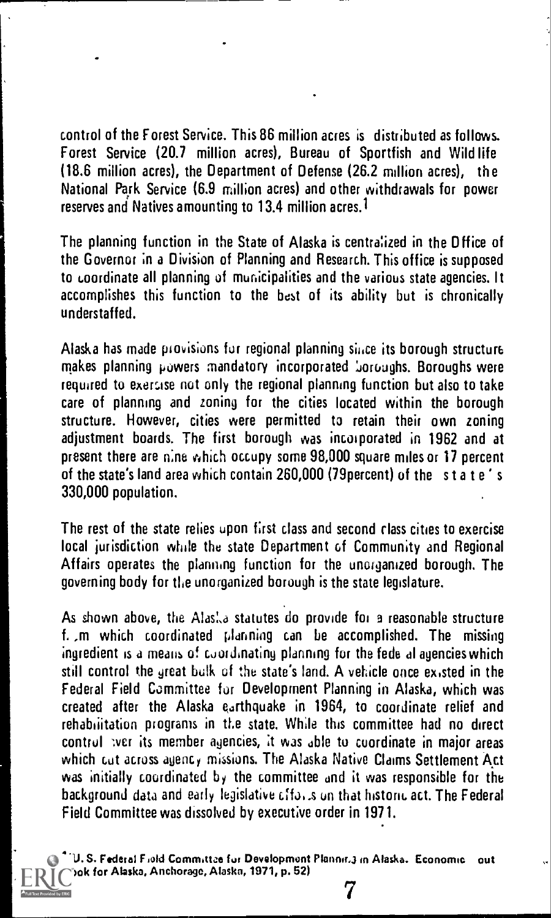control of the Forest Service. This 86 million acres is distributed as follows. Forest Service (20.7 million acres), Bureau of Sportfish and Wild life (18.6 million acres), the Department of Defense (26.2 million acres), the National Park Service (6.9 million acres) and other withdrawals for power reserves and Natives amounting to 13.4 million acres.<sup>1</sup>

The planning function in the State of Alaska is centralized in the Dffice of the Governor in a Division of Planning and Research. This office is supposed to coordinate all planning of municipalities and the various state agencies. It accomplishes this function to the best of its ability but is chronically understaffed.

Alaska has made provisions fur regional planning since its borough structure makes planning powers mandatory incorporated boroughs. Boroughs were required to exercise not only the regional planning function but also to take care of planning and zoning for the cities located within the borough structure. However, cities were permitted to retain their own zoning adjustment boards. The first borough was incorporated in 1962 and at present there are nine which occupy some 98,000 square miles or 17 percent of the state's land area which contain 260,000 (79percent) of the state's 330,000 population.

The rest of the state relies upon first class and second class cities to exercise local jurisdiction while the state Department of Community and Regional Affairs operates the planning function for the unorganized borough. The governing body for the unorganized borough is the state legislature.

As shown above, the Alas<sup>t</sup> a statutes do provide for a reasonable structure L ,m which coordinated planning can be accomplished. The missing ingredient is a means of coordinating planning for the fede al agencies which still control the great bulk of the state's land. A vehicle once existed in the Federal Field Committee fur Development Planning in Alaska, which was created after the Alaska earthquake in 1964, to coordinate relief and rehabiiitation programs in the state. While this committee had no direct control twer its member agencies, it was able to coordinate in major areas which cut across agency missions. The Alaska Native Claims Settlement Act was initially coordinated by the committee and it was responsible for the background data and early legislative cffai.s un that historic act. The Federal Field Committee was dissolved by executive order in 1971.

U. S. Federal Field Committze fur Development Plannir.3 in Alaska. Economic out look for Alaska, Anchorage, Alaska, 1971, p. 52)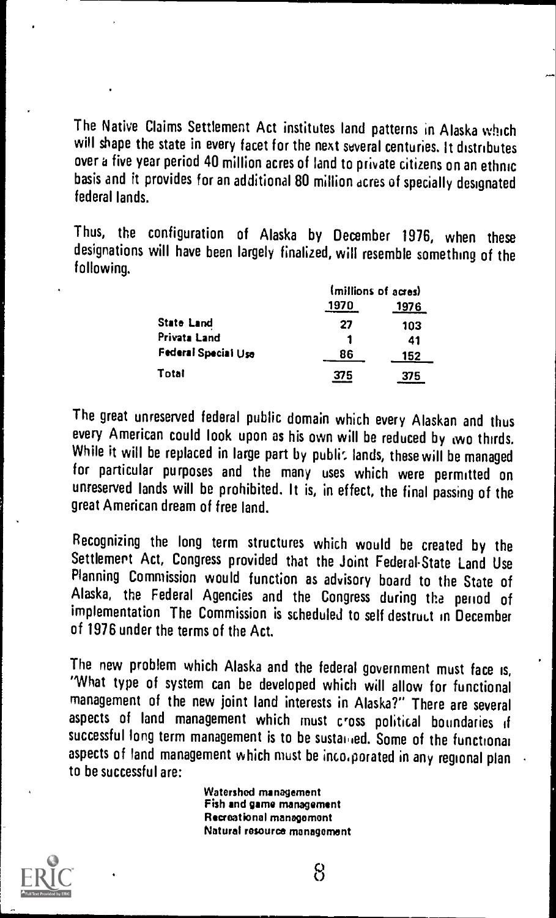The Native Claims Settlement Act institutes land patterns in Alaska which will shape the state in every facet for the next several centuries. It distributes over a five year period 40 million acres of land to private citizens on an ethnic basis and it provides for an additional 80 million acres of specially designated federal lands.

Thus, the configuration of Alaska by December 1976, when these designations will have been largely finalized, will resemble something of the following.

|                     | (millions of acres) |      |  |
|---------------------|---------------------|------|--|
|                     | 1970                | 1976 |  |
| State Land          | 27                  | 103  |  |
| Privata Land        |                     | 41   |  |
| Federal Special Use | 86                  | 152  |  |
| Total               | 375                 | 375  |  |

The great unreserved federal public domain which every Alaskan and thus every American could look upon as his own will be reduced by two thirds, While it will be replaced in large part by public lands, these will be managed for particular purposes and the many uses which were permitted on unreserved lands will be prohibited. It is, in effect, the final passing of the great American dream of free land.

Recognizing the long term structures which would be created by the Settlement Act, Congress provided that the Joint Federal-State Land Use Planning Commission would function as advisory board to the State of Alaska, the Federal Agencies and the Congress during the period of implementation The Commission is scheduled to self destruct in December of 1976 under the terms of the Act.

The new problem which Alaska and the federal government must face is, 'What type of system can be developed which will allow for functional management of the new joint land interests in Alaska?" There are several aspects of land management which must cross political boundaries if successful long term management is to be sustanted. Some of the functional aspects of land management which must be inco.porated in any regional plan to be successful are:

> Watershed management Fish and game management Recreational management Natural resource management

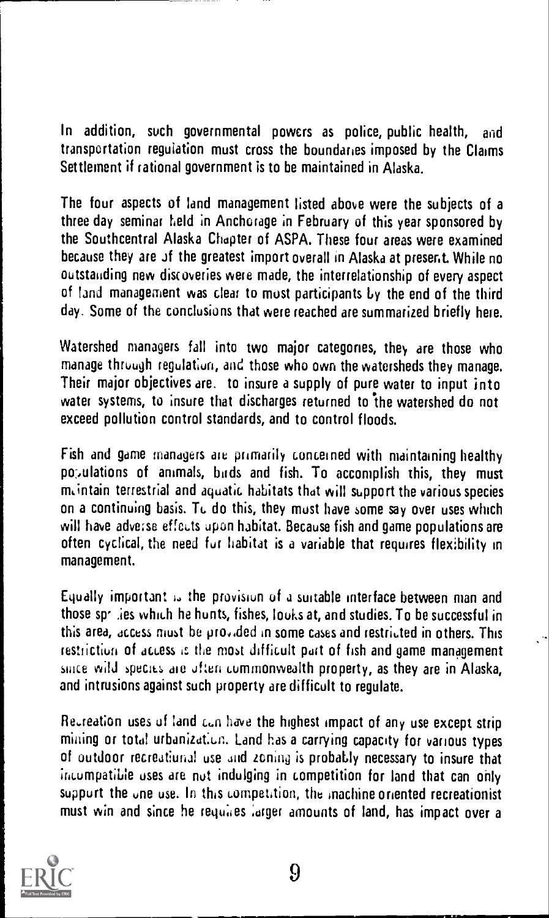In addition, such governmental powers as police, public health, and transportation regulation must cross the boundaries imposed by the Claims Settlement if rational government is to be maintained in Alaska.

The four aspects of land management listed above were the subjects of a three day seminar field in Anchorage in February of this year sponsored by the Southcentral Alaska Chapter of ASPA. These four areas were examined because they are of the greatest import overall in Alaska at present. While no outstauding new discoveries were made, the interrelationship of every aspect of land management was clear to most participants by the end of the third day. Some of the conclusions that were reached are summarized briefly here.

Watershed managers fall into two major categories, they are those who manage through regulation, and those who own the watersheds they manage. Their major objectives are. to insure a supply of pure water to input into water systems, to insure that discharges returned to the watershed do not exceed pollution control standards, and to control floods.

Fish and game managers are primarily concerned with maintaining healthy populations of animals, buds and fish. To accomplish this, they must rmintain terrestrial and aquatic habitats that will support the various species on a continuing basis. To do this, they must have some say over uses which will have adverse effects upon habitat. Because fish and game populations are often cyclical, the need fur habitat is a variable that requires flexibility in management.

Equally important  $\mu$  the provision of a suitable interface between man and those sp<sup>-</sup> ies which he hunts, fishes, louks at, and studies. To be successful in this area, access must be pro,ided in some cases and restricted in others. This restriction of access is the most difficult part of fish and game management since wild species are often commonwealth property, as they are in Alaska, and intrusions against such property are difficult to regulate.

Recreation uses of land can have the highest impact of any use except strip milling or total urbanization. Land has a carrying capacity for various types of outdoor recreatiunal use and zoning is probaLly necessary to insure that incumpatible uses are nut indulging in competition for land that can only suppurt the one use. In this competition, the machine oriented recreationist must win and since he requires larger amounts of land, has impact over a

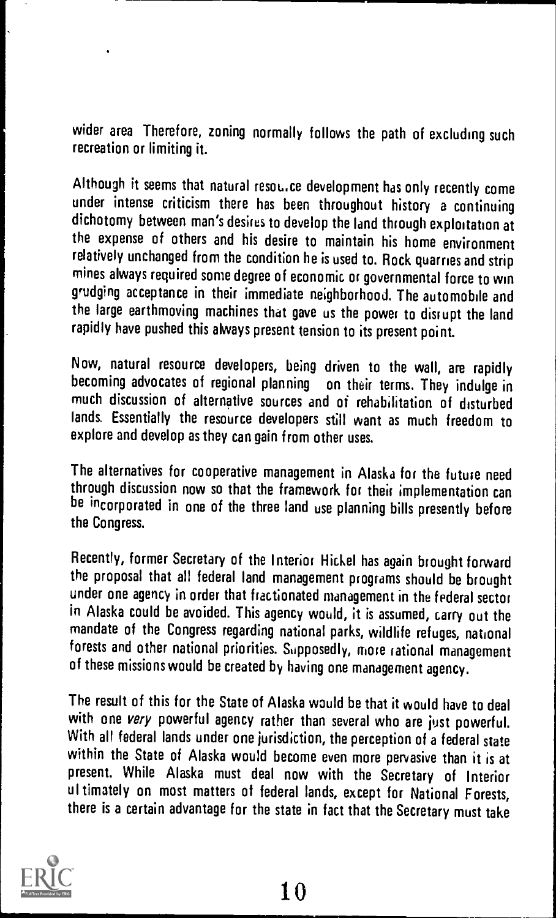wider area Therefore, zoning normally follows the path of excluding such recreation or limiting it.

Although it seems that natural resource development has only recently come under intense criticism there has been throughout history a continuing dichotomy between man's desires to develop the land through exploitation at the expense of others and his desire to maintain his home environment relatively unchanged from the condition he is used to. Rock quarries and strip mines always required some degree of economic or governmental force to win grudging acceptance in their immediate neighborhood. The automobile and the large earthmoving machines that gave us the power to disrupt the land rapidly have pushed this always present tension to its present point.

Now, natural resource developers, being driven to the wall, are rapidly becoming advocates of regional planning on their terms. They indulge in much discussion of alternative sources and of rehabilitation of disturbed lands. Essentially the resource developers still want as much freedom to explore and develop as they can gain from other uses.

The alternatives for cooperative management in Alaska for the future need through discussion now so that the framework for their implementation can be incorporated in one of the three land use planning bills presently before the Congress.

Recently, former Secretary of the Interior Hickel has again brought forward the proposal that all federal land management programs should be brought under one agency in order that fractionated management in the federal sector in Alaska could be avoided. This agency would, it is assumed, carry out the mandate of the Congress regarding national parks, wildlife refuges, national forests and other national priorities. Supposedly, more rational management of these missions would be created by having one management agency.

The result of this for the State of Alaska would be that it would have to deal with one very powerful agency rather than several who are just powerful. With all federal lands under one jurisdiction, the perception of a federal state within the State of Alaska would become even more pervasive than it is at present. While Alaska must deal now with the Secretary of Interior ultimately on most matters of federal lands, except for National Forests, there is a certain advantage for the state in fact that the Secretary must take

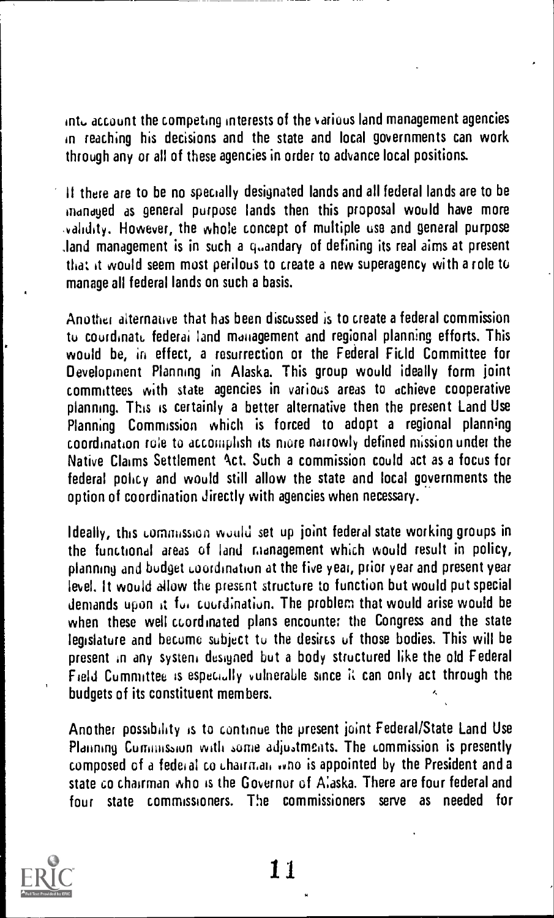int,. account the competing interests of the various land management agencies in reaching his decisions and the state and local governments can work through any or all of these agencies in order to advance local positions.

II there are to be no specially designated lands and all federal lands are to be managed as general purpose lands then this proposal would have more validity. However, the whole concept of multiple use and general purpose land management is in such a quandary of defining its real aims at present that it would seem most perilous to create a new superagency with a role to manage all federal lands on such a basis.

Another alternative that has been discussed is to create a federal commission to coordinate federal land management and regional planning efforts. This would be, in effect, a resurrection or the Federal Field Committee for Development Planning in Alaska. This group would ideally form joint committees with state agencies in various areas to achieve cooperative planning. This is certainly a better alternative then the present Land Use Planning Commission which is forced to adopt a regional planning coordination role to accomplish its more narrowly defined mission under the Native Claims Settlement Act. Such a commission could act as a focus for federal policy and would still allow the state and local governments the option of coordination directly with agencies when necessary.

Ideally, this commission would set up joint federal state working groups in the functional areas of land management which would result in policy, planning and budget coordination at the five year, prior year and present year level. It would allow the present structure to function but would put special demands upon it fui coordination. The problem that would arise would be when these well coordinated plans encounter the Congress and the state legislature and becume subject to the desires of those bodies. This will be present in any system designed but a body structured like the old Federal Field Committee is especially vulnerable since it can only act through the budgets of its constituent members.

Another possibility is to continue the present joint Federal/State Land Use Planning Commission with some adjustments. The commission is presently composed of a federal co chairman who is appointed by the President and a state co chairman who is the Governur of Alaska. There are four federal and four state commissioners. The commissioners serve as needed for



11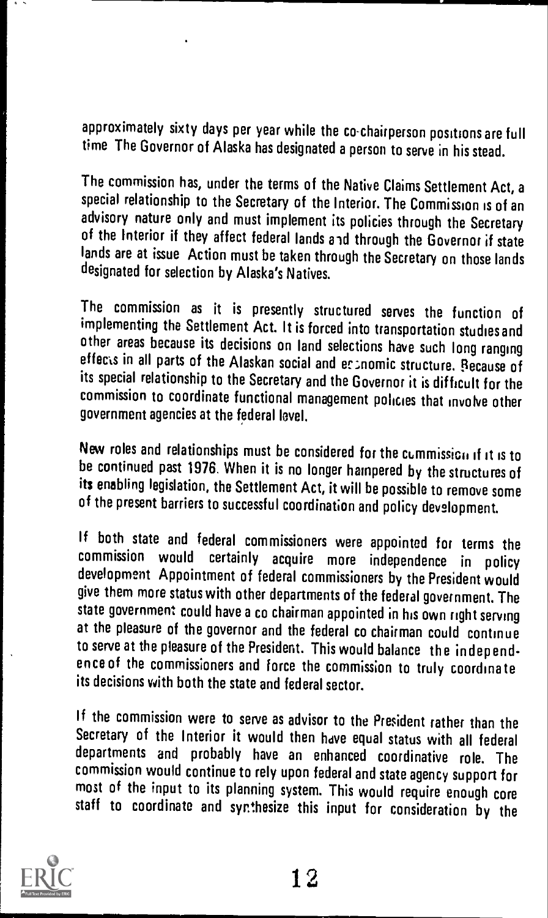approximately sixty days per year while the co-chairperson positions are full time The Governor of Alaska has designated a person to serve in his stead.

The commission has, under the terms of the Native Claims Settlement Act, a special relationship to the Secretary of the Interior. The Commission is of an advisory nature only and must implement its policies through the Secretary of the Interior if they affect federal lands and through the Governor if state lands are at issue Action must be taken through the Secretary on those lands designated for selection by Alaska's Natives.

The commission as it is presently structured serves the function of implementing the Settlement Act. It is forced into transportation studies and other areas because its decisions on land selections have such long ranging effects in all parts of the Alaskan social and economic structure. Because of its special relationship to the Secretary and the Governor it is difficult for the commission to coordinate functional management policies that involve other government agencies at the federal level.

New roles and relationships must be considered for the cummission if it is to be continued past 1976. When it is no longer hampered by the structures of its enabling legislation, the Settlement Act, it will be possible to remove some of the present barriers to successful coordination and policy development.

If both state and federal commissioners were appointed for terms the commission would certainly acquire more independence in policy development Appointment of federal commissioners by the President would give them more status with other departments of the federal government. The state government could have a co chairman appointed in his own right serving at the pleasure of the governor and the federal co chairman could continue to serve at the pleasure of the President. This would balance the independ ence of the commissioners and force the commission to truly coordinate its decisions with both the state and federal sector.

If the commission were to serve as advisor to the President rather than the Secretary of the Interior it would then have equal status with all federal departments and probably have an enhanced coordinative role. The commission would continue to rely upon federal and state agency support for most of the input to its planning system. This would require enough core staff to coordinate and synthesize this input for consideration by the

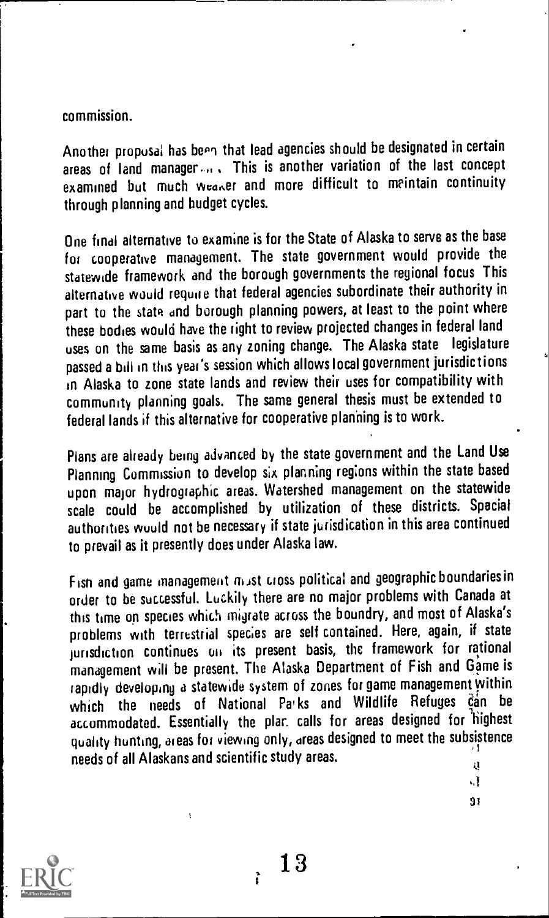#### commission.

Another proposal has been that lead agencies should be designated in certain areas of land manager.... This is another variation of the last concept examined but much wearer and more difficult to meintain continuity through planning and budget cycles.

One final alternative to examine is for the State of Alaska to serve as the base for cooperative management. The state government would provide the statewide framework and the borough governments the regional focus This alternative would require that federal agencies subordinate their authority in part to the state and borough planning powers, at least to the point where these bodies would have the right to review projected changes in federal land uses on the same basis as any zoning change. The Alaska state legislature passed a bill in this year's session which allows local government jurisdictions in Alaska to zone state lands and review their uses for compatibility with community planning goals. The same general thesis must be extended to federal lands if this alternative for cooperative planning is to work.

Plans are already being advanced by the state government and the Land Use Planning Commission to develop six planning regions within the state based upon major hydrographic areas. Watershed management on the statewide scale could be accomplished by utilization of these districts. Special authorities wuuld not be necessary if state jurisdication in this area continued to prevail as it presently does under Alaska law.

Fisn and game management mast cross political and geographic boundaries in order to be successful. Luckily there are no major problems with Canada at this time on species which migrate across the boundry, and most of Alaska's problems with terrestrial species are self contained. Here, again, if state jurisdiction continues oil its present basis, the framework for rational management will be present. The Alaska Department of Fish and Game is rapidly developing a statewide system of zones for game management within which the needs of National Parks and Wildlife Refuges can be accommodated. Essentially the plar. calls for areas designed for highest quality hunting, areas for viewing only, areas designed to meet the subsistence needs of all Alaskans and scientific study areas. ų

> $,$ } sr



ì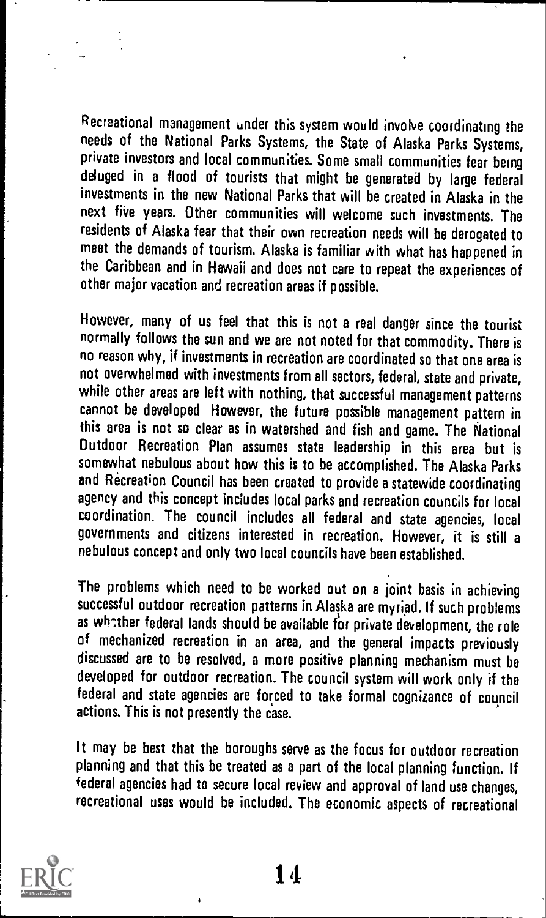Recreational management under this system would involve coordinating the needs of the National Parks Systems, the State of Alaska Parks Systems, private investors and local communities. Some small communities fear being deluged in a flood of tourists that might be generated by large federal investments in the new National Parks that will be created in Alaska in the next five years. Other communities will welcome such investments. The residents of Alaska fear that their own recreation needs will be derogated to meet the demands of tourism. Alaska is familiar with what has happened in the Caribbean and in Hawaii and does not care to repeat the experiences of other major vacation and recreation areas if possible.

However, many of us feel that this is not a real danger since the tourist normally follows the sun and we are not noted for that commodity. There is no reason why, if investments in recreation are coordinated so that one area is not overwhelmed with investments from all sectors, federal, state and private, while other areas are left with nothing, that successful management patterns cannot be developed However, the future possible management pattern in this area is not so clear as in watershed and fish and game. The National Outdoor Recreation Plan assumes state leadership in this area but is somewhat nebulous about how this is to be accomplished. The Alaska Parks and Recreation Council has been created to provide a statewide coordinating agency and this concept includes local parks and recreation councils for local coordination. The council includes all federal and state agencies, local governments and citizens interested in recreation. However, it is still a nebulous concept and only two local councils have been established.

The problems which need to be worked out on a joint basis in achieving successful outdoor recreation patterns in Alaska are myriad. If such problems as whother federal lands should be available for private development, the role of mechanized recreation in an area, and the general impacts previously discussed are to be resolved, a more positive planning mechanism must be developed for outdoor recreation. The council system will work only if the federal and state agencies are forced to take formal cognizance of council actions. This is not presently the case.

It may be best that the boroughs serve as the focus for outdoor recreation planning and that this be treated as a part of the local planning function. If federal agencies had to secure local review and approval of land use changes, recreational uses would be included. The economic aspects of recreational

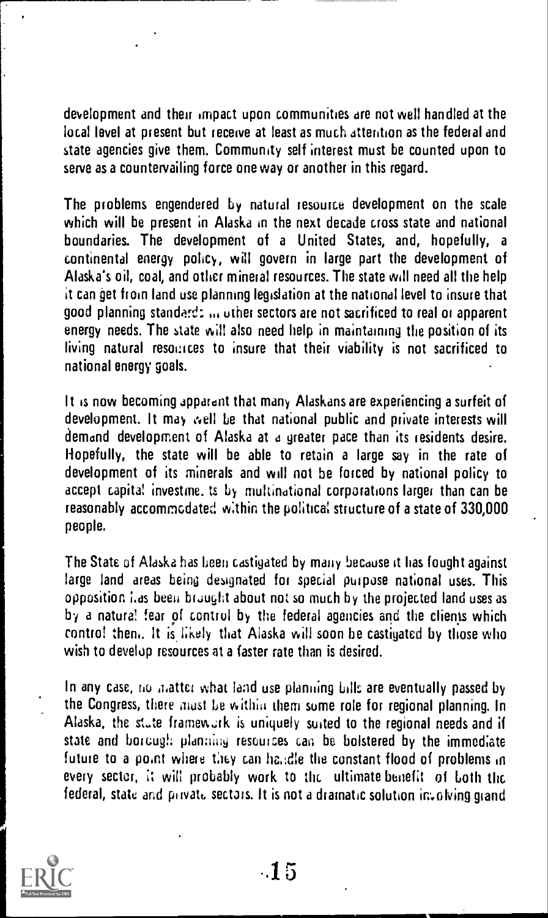development and their impact upon communities are not well handled at the local level at present but receive at least as much attention as the federal and state agencies give them. Community self interest must be counted upon to serve as a countervailing force one way or another in this regard.

The problems engendered by natural resource development on the scale which will be present in Alaska in the next decade cross state and national boundaries. The development of <sup>a</sup> United States, and, hopefully, <sup>a</sup> continental energy policy, will govern in large part the development of Alaska's oil, coal, and other mineral resources. The state will need all the help it can get from land use planning legislation at the national level to insure that good planning standard: ... other sectors are not sacrificed to real or apparent energy needs. The state will also need help in maintaining the position of its living natural resources to insure that their viability is not sacrificed to national energy goals.

It is now becoming apparent that many Alaskans are experiencing a surfeit of development. It may well be that national public and private interests will demand development of Alaska at a greater pace than its residents desire. Hopefully, the state will be able to retain a large say in the rate of development of its minerals and will not be forced by national policy to accept capita! investme. is by multinational corporations larger than can be reasonably accommcdated within the political structure of a state of 330,000 people.

The State of Alaska has been castigated by many because it has fought against large land areas being designated for special purpose national uses. This opposition i.as been brought about not so much by the projected land uses as by a natural fear of control by the federal agencies and the clients which contro! then,. It is likely that Alaska will soon be castigated by those who wish to develop resources at a faster rate than is desired.

In any case, no matter what land use planning bills are eventually passed by the Congress, there must be within them some role for regional planning. In Alaska, the state framework is uniquely suited to the regional needs and if state and borough planning resources can be bolstered by the immediate future to a point where they can handle the constant flood of problems in every sector, it will probably work to the ultimate benefit of both the federal, state and private sectors. It is not a dramatic solution involving grand